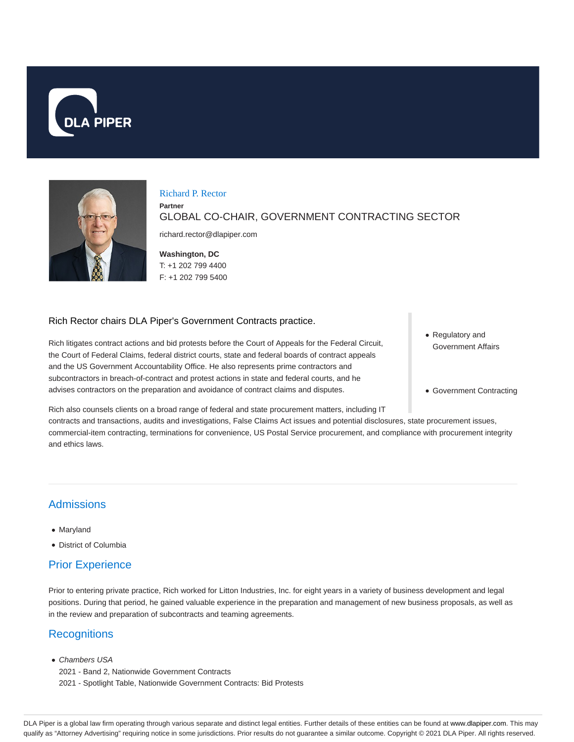



# Richard P. Rector

GLOBAL CO-CHAIR, GOVERNMENT CONTRACTING SECTOR

richard.rector@dlapiper.com

**Washington, DC** T: +1 202 799 4400 F: +1 202 799 5400

#### Rich Rector chairs DLA Piper's Government Contracts practice.

**Partner**

Rich litigates contract actions and bid protests before the Court of Appeals for the Federal Circuit, the Court of Federal Claims, federal district courts, state and federal boards of contract appeals and the US Government Accountability Office. He also represents prime contractors and subcontractors in breach-of-contract and protest actions in state and federal courts, and he advises contractors on the preparation and avoidance of contract claims and disputes.

Regulatory and Government Affairs

Government Contracting

Rich also counsels clients on a broad range of federal and state procurement matters, including IT contracts and transactions, audits and investigations, False Claims Act issues and potential disclosures, state procurement issues, commercial-item contracting, terminations for convenience, US Postal Service procurement, and compliance with procurement integrity and ethics laws.

# Admissions

- Maryland
- District of Columbia

# Prior Experience

Prior to entering private practice, Rich worked for Litton Industries, Inc. for eight years in a variety of business development and legal positions. During that period, he gained valuable experience in the preparation and management of new business proposals, as well as in the review and preparation of subcontracts and teaming agreements.

# **Recognitions**

- Chambers USA
- 2021 Band 2, Nationwide Government Contracts
- 2021 Spotlight Table, Nationwide Government Contracts: Bid Protests

DLA Piper is a global law firm operating through various separate and distinct legal entities. Further details of these entities can be found at www.dlapiper.com. This may qualify as "Attorney Advertising" requiring notice in some jurisdictions. Prior results do not guarantee a similar outcome. Copyright @ 2021 DLA Piper. All rights reserved.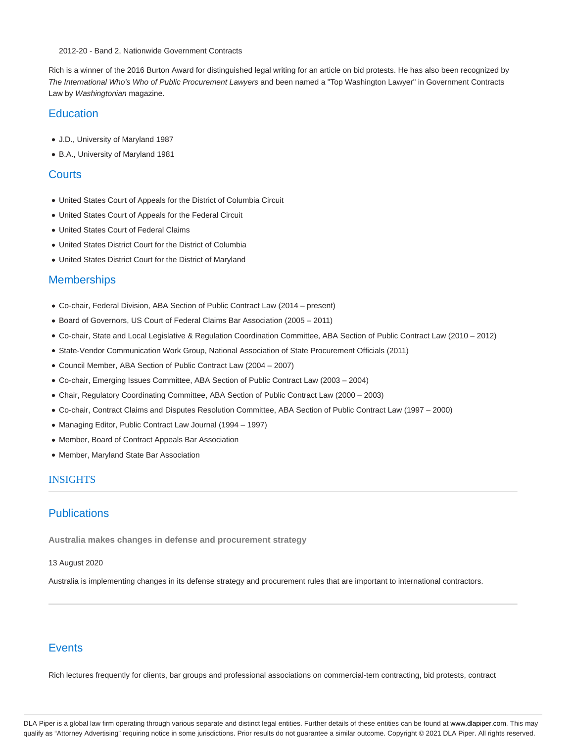2012-20 - Band 2, Nationwide Government Contracts

Rich is a winner of the 2016 Burton Award for distinguished legal writing for an article on bid protests. He has also been recognized by The International Who's Who of Public Procurement Lawyers and been named a "Top Washington Lawyer" in Government Contracts Law by Washingtonian magazine.

### **Education**

- J.D., University of Maryland 1987
- B.A., University of Maryland 1981

#### **Courts**

- United States Court of Appeals for the District of Columbia Circuit
- United States Court of Appeals for the Federal Circuit
- United States Court of Federal Claims
- United States District Court for the District of Columbia
- United States District Court for the District of Maryland

#### **Memberships**

- Co-chair, Federal Division, ABA Section of Public Contract Law (2014 present)
- Board of Governors, US Court of Federal Claims Bar Association (2005 2011)
- Co-chair, State and Local Legislative & Regulation Coordination Committee, ABA Section of Public Contract Law (2010 2012)
- State-Vendor Communication Work Group, National Association of State Procurement Officials (2011)
- Council Member, ABA Section of Public Contract Law (2004 2007)
- Co-chair, Emerging Issues Committee, ABA Section of Public Contract Law (2003 2004)
- Chair, Regulatory Coordinating Committee, ABA Section of Public Contract Law (2000 2003)
- Co-chair, Contract Claims and Disputes Resolution Committee, ABA Section of Public Contract Law (1997 2000)
- Managing Editor, Public Contract Law Journal (1994 1997)
- Member, Board of Contract Appeals Bar Association
- Member, Maryland State Bar Association

#### INSIGHTS

#### **Publications**

**Australia makes changes in defense and procurement strategy**

#### 13 August 2020

Australia is implementing changes in its defense strategy and procurement rules that are important to international contractors.

### **F**vents

Rich lectures frequently for clients, bar groups and professional associations on commercial-tem contracting, bid protests, contract

DLA Piper is a global law firm operating through various separate and distinct legal entities. Further details of these entities can be found at www.dlapiper.com. This may qualify as "Attorney Advertising" requiring notice in some jurisdictions. Prior results do not guarantee a similar outcome. Copyright © 2021 DLA Piper. All rights reserved.